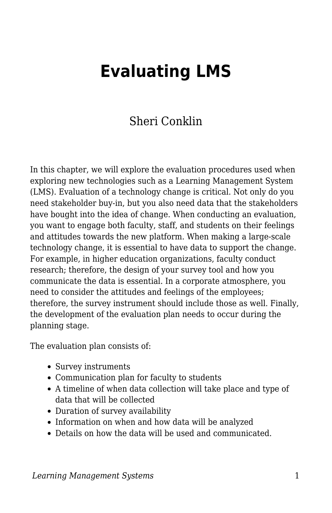# **Evaluating LMS**

## Sheri Conklin

In this chapter, we will explore the evaluation procedures used when exploring new technologies such as a Learning Management System (LMS). Evaluation of a technology change is critical. Not only do you need stakeholder buy-in, but you also need data that the stakeholders have bought into the idea of change. When conducting an evaluation, you want to engage both faculty, staff, and students on their feelings and attitudes towards the new platform. When making a large-scale technology change, it is essential to have data to support the change. For example, in higher education organizations, faculty conduct research; therefore, the design of your survey tool and how you communicate the data is essential. In a corporate atmosphere, you need to consider the attitudes and feelings of the employees; therefore, the survey instrument should include those as well. Finally, the development of the evaluation plan needs to occur during the planning stage.

The evaluation plan consists of:

- Survey instruments
- Communication plan for faculty to students
- A timeline of when data collection will take place and type of data that will be collected
- Duration of survey availability
- Information on when and how data will be analyzed
- Details on how the data will be used and communicated.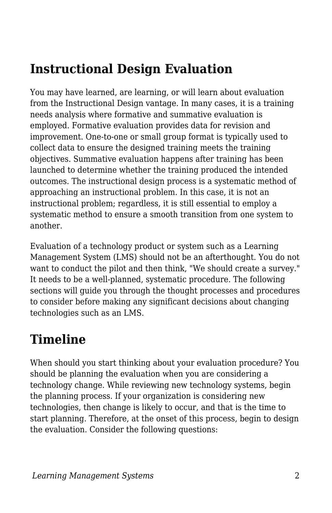## **Instructional Design Evaluation**

You may have learned, are learning, or will learn about evaluation from the Instructional Design vantage. In many cases, it is a training needs analysis where formative and summative evaluation is employed. Formative evaluation provides data for revision and improvement. One-to-one or small group format is typically used to collect data to ensure the designed training meets the training objectives. Summative evaluation happens after training has been launched to determine whether the training produced the intended outcomes. The instructional design process is a systematic method of approaching an instructional problem. In this case, it is not an instructional problem; regardless, it is still essential to employ a systematic method to ensure a smooth transition from one system to another.

Evaluation of a technology product or system such as a Learning Management System (LMS) should not be an afterthought. You do not want to conduct the pilot and then think, "We should create a survey." It needs to be a well-planned, systematic procedure. The following sections will guide you through the thought processes and procedures to consider before making any significant decisions about changing technologies such as an LMS.

## **Timeline**

When should you start thinking about your evaluation procedure? You should be planning the evaluation when you are considering a technology change. While reviewing new technology systems, begin the planning process. If your organization is considering new technologies, then change is likely to occur, and that is the time to start planning. Therefore, at the onset of this process, begin to design the evaluation. Consider the following questions: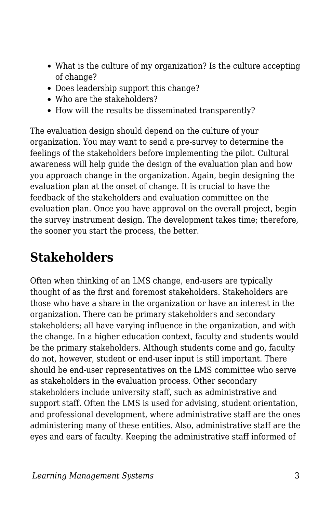- What is the culture of my organization? Is the culture accepting of change?
- Does leadership support this change?
- Who are the stakeholders?
- How will the results be disseminated transparently?

The evaluation design should depend on the culture of your organization. You may want to send a pre-survey to determine the feelings of the stakeholders before implementing the pilot. Cultural awareness will help guide the design of the evaluation plan and how you approach change in the organization. Again, begin designing the evaluation plan at the onset of change. It is crucial to have the feedback of the stakeholders and evaluation committee on the evaluation plan. Once you have approval on the overall project, begin the survey instrument design. The development takes time; therefore, the sooner you start the process, the better.

## **Stakeholders**

Often when thinking of an LMS change, end-users are typically thought of as the first and foremost stakeholders. Stakeholders are those who have a share in the organization or have an interest in the organization. There can be primary stakeholders and secondary stakeholders; all have varying influence in the organization, and with the change. In a higher education context, faculty and students would be the primary stakeholders. Although students come and go, faculty do not, however, student or end-user input is still important. There should be end-user representatives on the LMS committee who serve as stakeholders in the evaluation process. Other secondary stakeholders include university staff, such as administrative and support staff. Often the LMS is used for advising, student orientation, and professional development, where administrative staff are the ones administering many of these entities. Also, administrative staff are the eyes and ears of faculty. Keeping the administrative staff informed of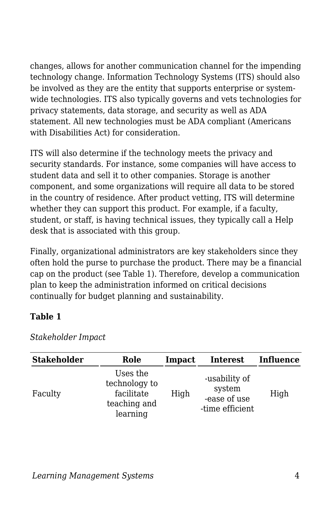changes, allows for another communication channel for the impending technology change. Information Technology Systems (ITS) should also be involved as they are the entity that supports enterprise or systemwide technologies. ITS also typically governs and vets technologies for privacy statements, data storage, and security as well as ADA statement. All new technologies must be ADA compliant (Americans with Disabilities Act) for consideration.

ITS will also determine if the technology meets the privacy and security standards. For instance, some companies will have access to student data and sell it to other companies. Storage is another component, and some organizations will require all data to be stored in the country of residence. After product vetting, ITS will determine whether they can support this product. For example, if a faculty, student, or staff, is having technical issues, they typically call a Help desk that is associated with this group.

Finally, organizational administrators are key stakeholders since they often hold the purse to purchase the product. There may be a financial cap on the product (see Table 1). Therefore, develop a communication plan to keep the administration informed on critical decisions continually for budget planning and sustainability.

#### **Table 1**

| <b>Stakeholder</b> | Role                                                                | Impact | <b>Interest</b>                                            | Influence |
|--------------------|---------------------------------------------------------------------|--------|------------------------------------------------------------|-----------|
| Faculty            | Uses the<br>technology to<br>facilitate<br>teaching and<br>learning | High   | -usability of<br>system<br>-ease of use<br>-time efficient | High      |

*Stakeholder Impact*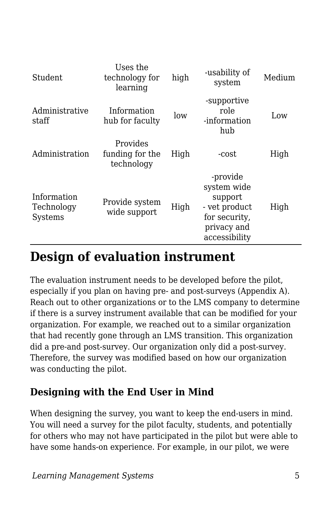| Student                              | Uses the<br>technology for<br>learning    | high | -usability of<br>system                                                                              | Medium |
|--------------------------------------|-------------------------------------------|------|------------------------------------------------------------------------------------------------------|--------|
| Administrative<br>staff              | Information<br>hub for faculty            | low  | -supportive<br>role<br>-information<br>hub                                                           | Low    |
| Administration                       | Provides<br>funding for the<br>technology | High | -cost                                                                                                | High   |
| Information<br>Technology<br>Systems | Provide system<br>wide support            | High | -provide<br>system wide<br>support<br>- vet product<br>for security,<br>privacy and<br>accessibility | High   |

## **Design of evaluation instrument**

The evaluation instrument needs to be developed before the pilot, especially if you plan on having pre- and post-surveys (Appendix A). Reach out to other organizations or to the LMS company to determine if there is a survey instrument available that can be modified for your organization. For example, we reached out to a similar organization that had recently gone through an LMS transition. This organization did a pre-and post-survey. Our organization only did a post-survey. Therefore, the survey was modified based on how our organization was conducting the pilot.

## **Designing with the End User in Mind**

When designing the survey, you want to keep the end-users in mind. You will need a survey for the pilot faculty, students, and potentially for others who may not have participated in the pilot but were able to have some hands-on experience. For example, in our pilot, we were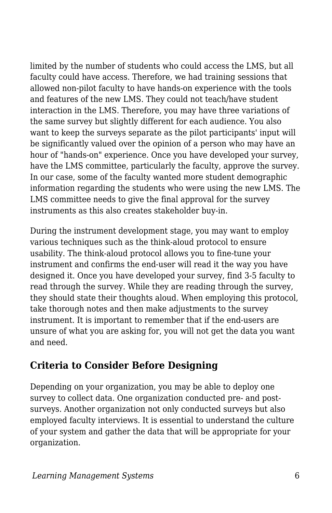limited by the number of students who could access the LMS, but all faculty could have access. Therefore, we had training sessions that allowed non-pilot faculty to have hands-on experience with the tools and features of the new LMS. They could not teach/have student interaction in the LMS. Therefore, you may have three variations of the same survey but slightly different for each audience. You also want to keep the surveys separate as the pilot participants' input will be significantly valued over the opinion of a person who may have an hour of "hands-on" experience. Once you have developed your survey, have the LMS committee, particularly the faculty, approve the survey. In our case, some of the faculty wanted more student demographic information regarding the students who were using the new LMS. The LMS committee needs to give the final approval for the survey instruments as this also creates stakeholder buy-in.

During the instrument development stage, you may want to employ various techniques such as the think-aloud protocol to ensure usability. The think-aloud protocol allows you to fine-tune your instrument and confirms the end-user will read it the way you have designed it. Once you have developed your survey, find 3-5 faculty to read through the survey. While they are reading through the survey, they should state their thoughts aloud. When employing this protocol, take thorough notes and then make adjustments to the survey instrument. It is important to remember that if the end-users are unsure of what you are asking for, you will not get the data you want and need.

## **Criteria to Consider Before Designing**

Depending on your organization, you may be able to deploy one survey to collect data. One organization conducted pre- and postsurveys. Another organization not only conducted surveys but also employed faculty interviews. It is essential to understand the culture of your system and gather the data that will be appropriate for your organization.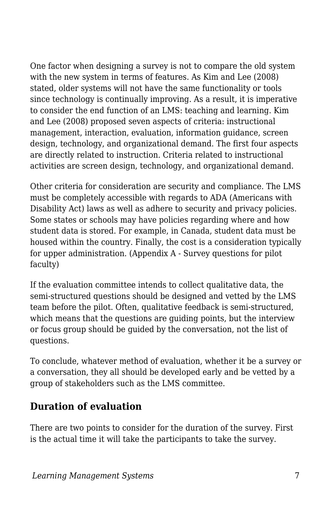One factor when designing a survey is not to compare the old system with the new system in terms of features. As Kim and Lee (2008) stated, older systems will not have the same functionality or tools since technology is continually improving. As a result, it is imperative to consider the end function of an LMS: teaching and learning. Kim and Lee (2008) proposed seven aspects of criteria: instructional management, interaction, evaluation, information guidance, screen design, technology, and organizational demand. The first four aspects are directly related to instruction. Criteria related to instructional activities are screen design, technology, and organizational demand.

Other criteria for consideration are security and compliance. The LMS must be completely accessible with regards to ADA (Americans with Disability Act) laws as well as adhere to security and privacy policies. Some states or schools may have policies regarding where and how student data is stored. For example, in Canada, student data must be housed within the country. Finally, the cost is a consideration typically for upper administration. (Appendix A - Survey questions for pilot faculty)

If the evaluation committee intends to collect qualitative data, the semi-structured questions should be designed and vetted by the LMS team before the pilot. Often, qualitative feedback is semi-structured, which means that the questions are guiding points, but the interview or focus group should be guided by the conversation, not the list of questions.

To conclude, whatever method of evaluation, whether it be a survey or a conversation, they all should be developed early and be vetted by a group of stakeholders such as the LMS committee.

## **Duration of evaluation**

There are two points to consider for the duration of the survey. First is the actual time it will take the participants to take the survey.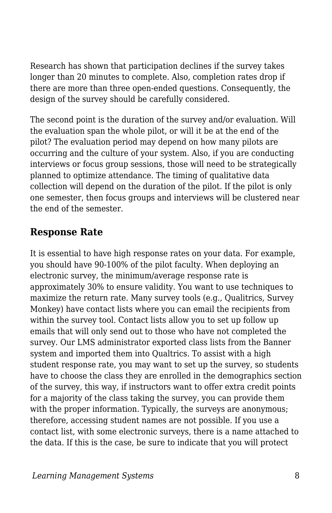Research has shown that participation declines if the survey takes longer than 20 minutes to complete. Also, completion rates drop if there are more than three open-ended questions. Consequently, the design of the survey should be carefully considered.

The second point is the duration of the survey and/or evaluation. Will the evaluation span the whole pilot, or will it be at the end of the pilot? The evaluation period may depend on how many pilots are occurring and the culture of your system. Also, if you are conducting interviews or focus group sessions, those will need to be strategically planned to optimize attendance. The timing of qualitative data collection will depend on the duration of the pilot. If the pilot is only one semester, then focus groups and interviews will be clustered near the end of the semester.

## **Response Rate**

It is essential to have high response rates on your data. For example, you should have 90-100% of the pilot faculty. When deploying an electronic survey, the minimum/average response rate is approximately 30% to ensure validity. You want to use techniques to maximize the return rate. Many survey tools (e.g., Qualitrics, Survey Monkey) have contact lists where you can email the recipients from within the survey tool. Contact lists allow you to set up follow up emails that will only send out to those who have not completed the survey. Our LMS administrator exported class lists from the Banner system and imported them into Qualtrics. To assist with a high student response rate, you may want to set up the survey, so students have to choose the class they are enrolled in the demographics section of the survey, this way, if instructors want to offer extra credit points for a majority of the class taking the survey, you can provide them with the proper information. Typically, the surveys are anonymous; therefore, accessing student names are not possible. If you use a contact list, with some electronic surveys, there is a name attached to the data. If this is the case, be sure to indicate that you will protect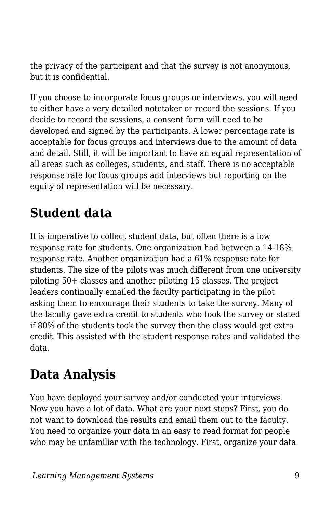the privacy of the participant and that the survey is not anonymous, but it is confidential.

If you choose to incorporate focus groups or interviews, you will need to either have a very detailed notetaker or record the sessions. If you decide to record the sessions, a consent form will need to be developed and signed by the participants. A lower percentage rate is acceptable for focus groups and interviews due to the amount of data and detail. Still, it will be important to have an equal representation of all areas such as colleges, students, and staff. There is no acceptable response rate for focus groups and interviews but reporting on the equity of representation will be necessary.

## **Student data**

It is imperative to collect student data, but often there is a low response rate for students. One organization had between a 14-18% response rate. Another organization had a 61% response rate for students. The size of the pilots was much different from one university piloting 50+ classes and another piloting 15 classes. The project leaders continually emailed the faculty participating in the pilot asking them to encourage their students to take the survey. Many of the faculty gave extra credit to students who took the survey or stated if 80% of the students took the survey then the class would get extra credit. This assisted with the student response rates and validated the data.

## **Data Analysis**

You have deployed your survey and/or conducted your interviews. Now you have a lot of data. What are your next steps? First, you do not want to download the results and email them out to the faculty. You need to organize your data in an easy to read format for people who may be unfamiliar with the technology. First, organize your data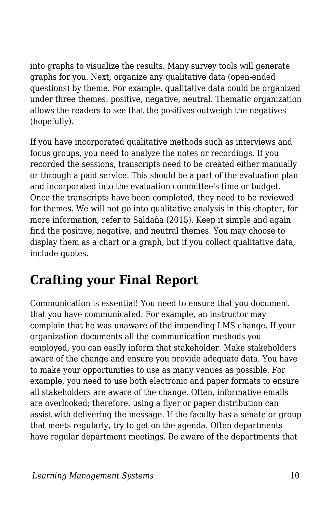into graphs to visualize the results. Many survey tools will generate graphs for you. Next, organize any qualitative data (open-ended questions) by theme. For example, qualitative data could be organized under three themes: positive, negative, neutral. Thematic organization allows the readers to see that the positives outweigh the negatives (hopefully).

If you have incorporated qualitative methods such as interviews and focus groups, you need to analyze the notes or recordings. If you recorded the sessions, transcripts need to be created either manually or through a paid service. This should be a part of the evaluation plan and incorporated into the evaluation committee's time or budget. Once the transcripts have been completed, they need to be reviewed for themes. We will not go into qualitative analysis in this chapter, for more information, refer to Saldaña (2015). Keep it simple and again find the positive, negative, and neutral themes. You may choose to display them as a chart or a graph, but if you collect qualitative data, include quotes.

## **Crafting your Final Report**

Communication is essential! You need to ensure that you document that you have communicated. For example, an instructor may complain that he was unaware of the impending LMS change. If your organization documents all the communication methods you employed, you can easily inform that stakeholder. Make stakeholders aware of the change and ensure you provide adequate data. You have to make your opportunities to use as many venues as possible. For example, you need to use both electronic and paper formats to ensure all stakeholders are aware of the change. Often, informative emails are overlooked; therefore, using a flyer or paper distribution can assist with delivering the message. If the faculty has a senate or group that meets regularly, try to get on the agenda. Often departments have regular department meetings. Be aware of the departments that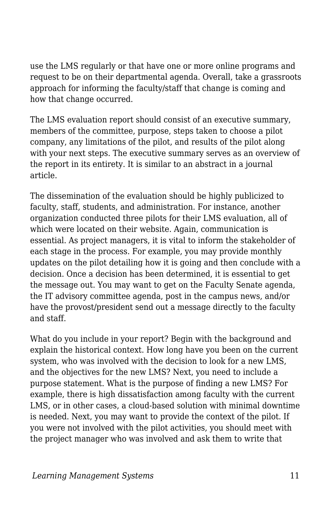use the LMS regularly or that have one or more online programs and request to be on their departmental agenda. Overall, take a grassroots approach for informing the faculty/staff that change is coming and how that change occurred.

The LMS evaluation report should consist of an executive summary, members of the committee, purpose, steps taken to choose a pilot company, any limitations of the pilot, and results of the pilot along with your next steps. The executive summary serves as an overview of the report in its entirety. It is similar to an abstract in a journal article.

The dissemination of the evaluation should be highly publicized to faculty, staff, students, and administration. For instance, another organization conducted three pilots for their LMS evaluation, all of which were located on their website. Again, communication is essential. As project managers, it is vital to inform the stakeholder of each stage in the process. For example, you may provide monthly updates on the pilot detailing how it is going and then conclude with a decision. Once a decision has been determined, it is essential to get the message out. You may want to get on the Faculty Senate agenda, the IT advisory committee agenda, post in the campus news, and/or have the provost/president send out a message directly to the faculty and staff.

What do you include in your report? Begin with the background and explain the historical context. How long have you been on the current system, who was involved with the decision to look for a new LMS, and the objectives for the new LMS? Next, you need to include a purpose statement. What is the purpose of finding a new LMS? For example, there is high dissatisfaction among faculty with the current LMS, or in other cases, a cloud-based solution with minimal downtime is needed. Next, you may want to provide the context of the pilot. If you were not involved with the pilot activities, you should meet with the project manager who was involved and ask them to write that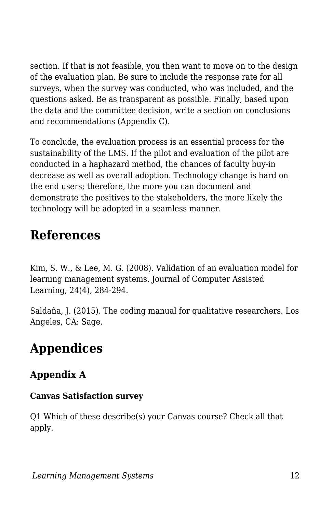section. If that is not feasible, you then want to move on to the design of the evaluation plan. Be sure to include the response rate for all surveys, when the survey was conducted, who was included, and the questions asked. Be as transparent as possible. Finally, based upon the data and the committee decision, write a section on conclusions and recommendations (Appendix C).

To conclude, the evaluation process is an essential process for the sustainability of the LMS. If the pilot and evaluation of the pilot are conducted in a haphazard method, the chances of faculty buy-in decrease as well as overall adoption. Technology change is hard on the end users; therefore, the more you can document and demonstrate the positives to the stakeholders, the more likely the technology will be adopted in a seamless manner.

## **References**

Kim, S. W., & Lee, M. G. (2008). Validation of an evaluation model for learning management systems. Journal of Computer Assisted Learning, 24(4), 284-294.

Saldaña, J. (2015). The coding manual for qualitative researchers. Los Angeles, CA: Sage.

## **Appendices**

## **Appendix A**

#### **Canvas Satisfaction survey**

Q1 Which of these describe(s) your Canvas course? Check all that apply.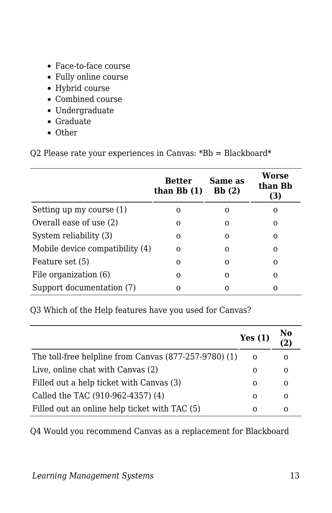- Face-to-face course
- Fully online course
- Hybrid course
- Combined course
- Undergraduate
- Graduate
- Other

Q2 Please rate your experiences in Canvas: \*Bb = Blackboard\*

|                                 | <b>Better</b><br>than $Bb(1)$ | Same as<br>Bb(2) | Worse<br>than Bb<br>(3) |
|---------------------------------|-------------------------------|------------------|-------------------------|
| Setting up my course (1)        | 0                             | O                | 0                       |
| Overall ease of use (2)         | 0                             | Ω                | Ω                       |
| System reliability (3)          | $\Omega$                      | ი                | O                       |
| Mobile device compatibility (4) | 0                             | ი                | Ω                       |
| Feature set (5)                 | $\Omega$                      | Ω                | O                       |
| File organization (6)           | 0                             | Ω                | 0                       |
| Support documentation (7)       | Ω                             |                  | Ω                       |

Q3 Which of the Help features have you used for Canvas?

|                                                       | Yes $(1)$ | No<br>$\overline{2)}$ |
|-------------------------------------------------------|-----------|-----------------------|
| The toll-free helpline from Canvas (877-257-9780) (1) | 0         | 0                     |
| Live, online chat with Canvas (2)                     | $\Omega$  | 0                     |
| Filled out a help ticket with Canvas (3)              | 0         | $\Omega$              |
| Called the TAC (910-962-4357) (4)                     | 0         | $\Omega$              |
| Filled out an online help ticket with TAC (5)         | Ω         | 0                     |

Q4 Would you recommend Canvas as a replacement for Blackboard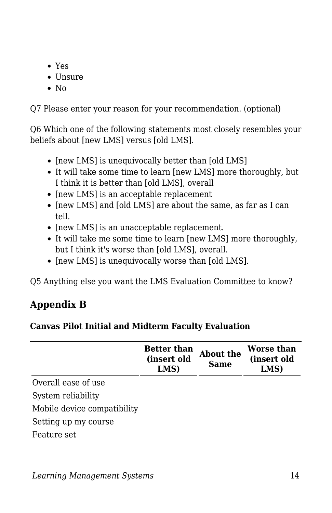- Yes
- Unsure
- $\bullet$  No

Q7 Please enter your reason for your recommendation. (optional)

Q6 Which one of the following statements most closely resembles your beliefs about [new LMS] versus [old LMS].

- [new LMS] is unequivocally better than [old LMS]
- It will take some time to learn [new LMS] more thoroughly, but I think it is better than [old LMS], overall
- [new LMS] is an acceptable replacement
- [new LMS] and [old LMS] are about the same, as far as I can tell.
- [new LMS] is an unacceptable replacement.
- It will take me some time to learn [new LMS] more thoroughly, but I think it's worse than [old LMS], overall.
- [new LMS] is unequivocally worse than [old LMS].

Q5 Anything else you want the LMS Evaluation Committee to know?

## **Appendix B**

### **Canvas Pilot Initial and Midterm Faculty Evaluation**

|                             | <b>Better than</b><br>(insert old<br>LMS) | About the<br><b>Same</b> | Worse than<br>(insert old<br>LMS) |
|-----------------------------|-------------------------------------------|--------------------------|-----------------------------------|
| Overall ease of use         |                                           |                          |                                   |
| System reliability          |                                           |                          |                                   |
| Mobile device compatibility |                                           |                          |                                   |
| Setting up my course        |                                           |                          |                                   |
| Feature set                 |                                           |                          |                                   |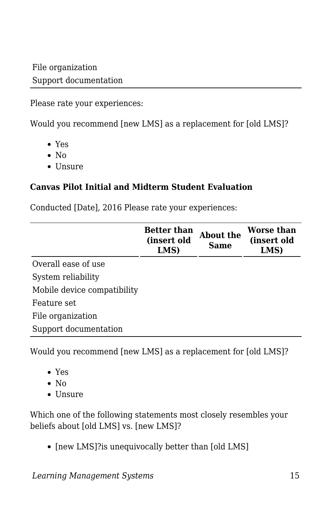Please rate your experiences:

Would you recommend [new LMS] as a replacement for [old LMS]?

- Yes
- $\bullet$  No
- $\bullet$  Unsure

### **Canvas Pilot Initial and Midterm Student Evaluation**

Conducted [Date], 2016 Please rate your experiences:

|                             | <b>Better than</b><br>(insert old<br>LMS) | About the<br>Same | <b>Worse than</b><br>(insert old<br>LMS) |
|-----------------------------|-------------------------------------------|-------------------|------------------------------------------|
| Overall ease of use         |                                           |                   |                                          |
| System reliability          |                                           |                   |                                          |
| Mobile device compatibility |                                           |                   |                                          |
| Feature set                 |                                           |                   |                                          |
| File organization           |                                           |                   |                                          |
| Support documentation       |                                           |                   |                                          |

Would you recommend [new LMS] as a replacement for [old LMS]?

- Yes
- $\bullet$  No
- Unsure

Which one of the following statements most closely resembles your beliefs about [old LMS] vs. [new LMS]?

• [new LMS]?is unequivocally better than [old LMS]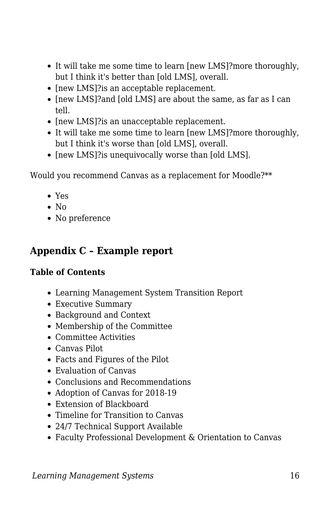- It will take me some time to learn [new LMS]?more thoroughly, but I think it's better than [old LMS], overall.
- [new LMS]?is an acceptable replacement.
- [new LMS]?and [old LMS] are about the same, as far as I can tell.
- [new LMS]?is an unacceptable replacement.
- It will take me some time to learn [new LMS]?more thoroughly, but I think it's worse than [old LMS], overall.
- [new LMS]?is unequivocally worse than [old LMS].

Would you recommend Canvas as a replacement for Moodle?\*\*

- Yes
- $\bullet$  No
- No preference

### **Appendix C – Example report**

#### **Table of Contents**

- Learning Management System Transition Report
- Executive Summary
- Background and Context
- Membership of the Committee
- Committee Activities
- Canvas Pilot
- Facts and Figures of the Pilot
- Evaluation of Canvas
- Conclusions and Recommendations
- Adoption of Canvas for 2018-19
- Extension of Blackboard
- Timeline for Transition to Canvas
- 24/7 Technical Support Available
- Faculty Professional Development & Orientation to Canvas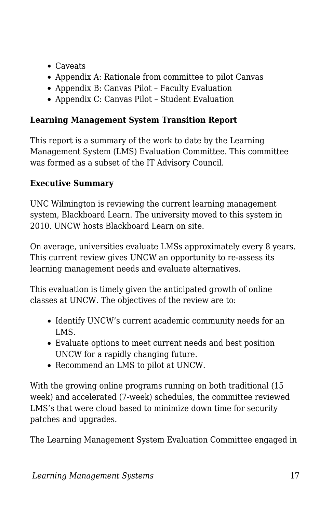- Caveats
- Appendix A: Rationale from committee to pilot Canvas
- Appendix B: Canvas Pilot Faculty Evaluation
- Appendix C: Canvas Pilot Student Evaluation

### **Learning Management System Transition Report**

This report is a summary of the work to date by the Learning Management System (LMS) Evaluation Committee. This committee was formed as a subset of the IT Advisory Council.

### **Executive Summary**

UNC Wilmington is reviewing the current learning management system, Blackboard Learn. The university moved to this system in 2010. UNCW hosts Blackboard Learn on site.

On average, universities evaluate LMSs approximately every 8 years. This current review gives UNCW an opportunity to re-assess its learning management needs and evaluate alternatives.

This evaluation is timely given the anticipated growth of online classes at UNCW. The objectives of the review are to:

- Identify UNCW's current academic community needs for an LMS.
- Evaluate options to meet current needs and best position UNCW for a rapidly changing future.
- Recommend an LMS to pilot at UNCW.

With the growing online programs running on both traditional (15 week) and accelerated (7-week) schedules, the committee reviewed LMS's that were cloud based to minimize down time for security patches and upgrades.

The Learning Management System Evaluation Committee engaged in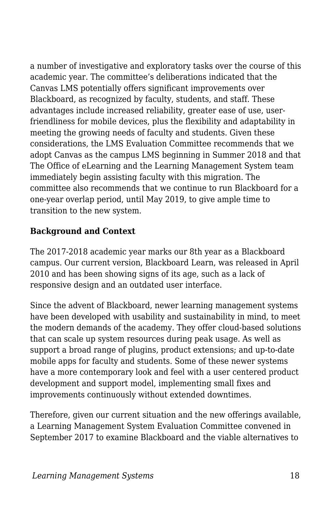a number of investigative and exploratory tasks over the course of this academic year. The committee's deliberations indicated that the Canvas LMS potentially offers significant improvements over Blackboard, as recognized by faculty, students, and staff. These advantages include increased reliability, greater ease of use, userfriendliness for mobile devices, plus the flexibility and adaptability in meeting the growing needs of faculty and students. Given these considerations, the LMS Evaluation Committee recommends that we adopt Canvas as the campus LMS beginning in Summer 2018 and that The Office of eLearning and the Learning Management System team immediately begin assisting faculty with this migration. The committee also recommends that we continue to run Blackboard for a one-year overlap period, until May 2019, to give ample time to transition to the new system.

#### **Background and Context**

The 2017-2018 academic year marks our 8th year as a Blackboard campus. Our current version, Blackboard Learn, was released in April 2010 and has been showing signs of its age, such as a lack of responsive design and an outdated user interface.

Since the advent of Blackboard, newer learning management systems have been developed with usability and sustainability in mind, to meet the modern demands of the academy. They offer cloud-based solutions that can scale up system resources during peak usage. As well as support a broad range of plugins, product extensions; and up-to-date mobile apps for faculty and students. Some of these newer systems have a more contemporary look and feel with a user centered product development and support model, implementing small fixes and improvements continuously without extended downtimes.

Therefore, given our current situation and the new offerings available, a Learning Management System Evaluation Committee convened in September 2017 to examine Blackboard and the viable alternatives to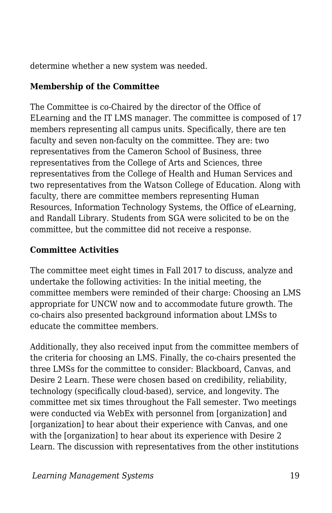determine whether a new system was needed.

### **Membership of the Committee**

The Committee is co-Chaired by the director of the Office of ELearning and the IT LMS manager. The committee is composed of 17 members representing all campus units. Specifically, there are ten faculty and seven non-faculty on the committee. They are: two representatives from the Cameron School of Business, three representatives from the College of Arts and Sciences, three representatives from the College of Health and Human Services and two representatives from the Watson College of Education. Along with faculty, there are committee members representing Human Resources, Information Technology Systems, the Office of eLearning, and Randall Library. Students from SGA were solicited to be on the committee, but the committee did not receive a response.

#### **Committee Activities**

The committee meet eight times in Fall 2017 to discuss, analyze and undertake the following activities: In the initial meeting, the committee members were reminded of their charge: Choosing an LMS appropriate for UNCW now and to accommodate future growth. The co-chairs also presented background information about LMSs to educate the committee members.

Additionally, they also received input from the committee members of the criteria for choosing an LMS. Finally, the co-chairs presented the three LMSs for the committee to consider: Blackboard, Canvas, and Desire 2 Learn. These were chosen based on credibility, reliability, technology (specifically cloud-based), service, and longevity. The committee met six times throughout the Fall semester. Two meetings were conducted via WebEx with personnel from [organization] and [organization] to hear about their experience with Canvas, and one with the [organization] to hear about its experience with Desire 2 Learn. The discussion with representatives from the other institutions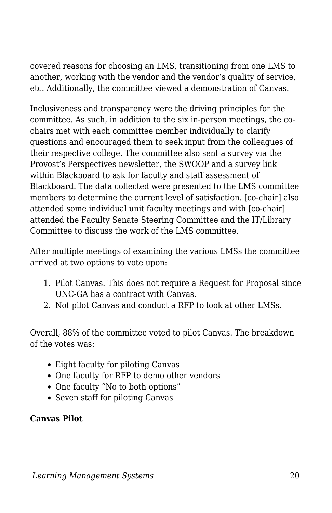covered reasons for choosing an LMS, transitioning from one LMS to another, working with the vendor and the vendor's quality of service, etc. Additionally, the committee viewed a demonstration of Canvas.

Inclusiveness and transparency were the driving principles for the committee. As such, in addition to the six in-person meetings, the cochairs met with each committee member individually to clarify questions and encouraged them to seek input from the colleagues of their respective college. The committee also sent a survey via the Provost's Perspectives newsletter, the SWOOP and a survey link within Blackboard to ask for faculty and staff assessment of Blackboard. The data collected were presented to the LMS committee members to determine the current level of satisfaction. [co-chair] also attended some individual unit faculty meetings and with [co-chair] attended the Faculty Senate Steering Committee and the IT/Library Committee to discuss the work of the LMS committee.

After multiple meetings of examining the various LMSs the committee arrived at two options to vote upon:

- 1. Pilot Canvas. This does not require a Request for Proposal since UNC-GA has a contract with Canvas.
- 2. Not pilot Canvas and conduct a RFP to look at other LMSs.

Overall, 88% of the committee voted to pilot Canvas. The breakdown of the votes was:

- Eight faculty for piloting Canvas
- One faculty for RFP to demo other vendors
- One faculty "No to both options"
- Seven staff for piloting Canvas

### **Canvas Pilot**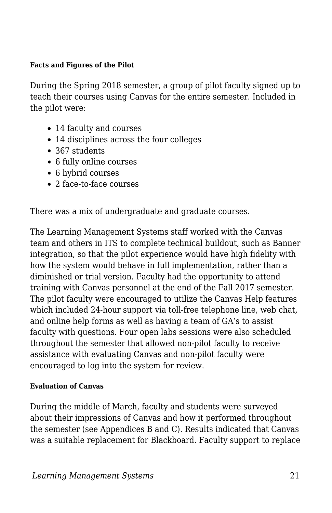#### **Facts and Figures of the Pilot**

During the Spring 2018 semester, a group of pilot faculty signed up to teach their courses using Canvas for the entire semester. Included in the pilot were:

- 14 faculty and courses
- 14 disciplines across the four colleges
- 367 students
- 6 fully online courses
- 6 hybrid courses
- 2 face-to-face courses

There was a mix of undergraduate and graduate courses.

The Learning Management Systems staff worked with the Canvas team and others in ITS to complete technical buildout, such as Banner integration, so that the pilot experience would have high fidelity with how the system would behave in full implementation, rather than a diminished or trial version. Faculty had the opportunity to attend training with Canvas personnel at the end of the Fall 2017 semester. The pilot faculty were encouraged to utilize the Canvas Help features which included 24-hour support via toll-free telephone line, web chat, and online help forms as well as having a team of GA's to assist faculty with questions. Four open labs sessions were also scheduled throughout the semester that allowed non-pilot faculty to receive assistance with evaluating Canvas and non-pilot faculty were encouraged to log into the system for review.

#### **Evaluation of Canvas**

During the middle of March, faculty and students were surveyed about their impressions of Canvas and how it performed throughout the semester (see Appendices B and C). Results indicated that Canvas was a suitable replacement for Blackboard. Faculty support to replace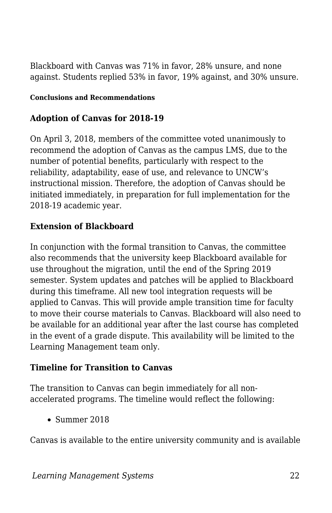Blackboard with Canvas was 71% in favor, 28% unsure, and none against. Students replied 53% in favor, 19% against, and 30% unsure.

#### **Conclusions and Recommendations**

#### **Adoption of Canvas for 2018-19**

On April 3, 2018, members of the committee voted unanimously to recommend the adoption of Canvas as the campus LMS, due to the number of potential benefits, particularly with respect to the reliability, adaptability, ease of use, and relevance to UNCW's instructional mission. Therefore, the adoption of Canvas should be initiated immediately, in preparation for full implementation for the 2018-19 academic year.

#### **Extension of Blackboard**

In conjunction with the formal transition to Canvas, the committee also recommends that the university keep Blackboard available for use throughout the migration, until the end of the Spring 2019 semester. System updates and patches will be applied to Blackboard during this timeframe. All new tool integration requests will be applied to Canvas. This will provide ample transition time for faculty to move their course materials to Canvas. Blackboard will also need to be available for an additional year after the last course has completed in the event of a grade dispute. This availability will be limited to the Learning Management team only.

#### **Timeline for Transition to Canvas**

The transition to Canvas can begin immediately for all nonaccelerated programs. The timeline would reflect the following:

Summer 2018

Canvas is available to the entire university community and is available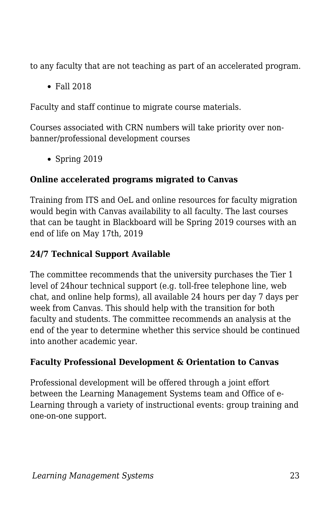to any faculty that are not teaching as part of an accelerated program.

Fall 2018

Faculty and staff continue to migrate course materials.

Courses associated with CRN numbers will take priority over nonbanner/professional development courses

Spring 2019

### **Online accelerated programs migrated to Canvas**

Training from ITS and OeL and online resources for faculty migration would begin with Canvas availability to all faculty. The last courses that can be taught in Blackboard will be Spring 2019 courses with an end of life on May 17th, 2019

### **24/7 Technical Support Available**

The committee recommends that the university purchases the Tier 1 level of 24hour technical support (e.g. toll-free telephone line, web chat, and online help forms), all available 24 hours per day 7 days per week from Canvas. This should help with the transition for both faculty and students. The committee recommends an analysis at the end of the year to determine whether this service should be continued into another academic year.

### **Faculty Professional Development & Orientation to Canvas**

Professional development will be offered through a joint effort between the Learning Management Systems team and Office of e-Learning through a variety of instructional events: group training and one-on-one support.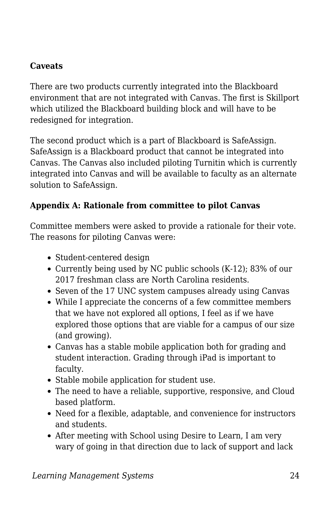#### **Caveats**

There are two products currently integrated into the Blackboard environment that are not integrated with Canvas. The first is Skillport which utilized the Blackboard building block and will have to be redesigned for integration.

The second product which is a part of Blackboard is SafeAssign. SafeAssign is a Blackboard product that cannot be integrated into Canvas. The Canvas also included piloting Turnitin which is currently integrated into Canvas and will be available to faculty as an alternate solution to SafeAssign.

#### **Appendix A: Rationale from committee to pilot Canvas**

Committee members were asked to provide a rationale for their vote. The reasons for piloting Canvas were:

- Student-centered design
- Currently being used by NC public schools (K-12); 83% of our 2017 freshman class are North Carolina residents.
- Seven of the 17 UNC system campuses already using Canvas
- While I appreciate the concerns of a few committee members that we have not explored all options, I feel as if we have explored those options that are viable for a campus of our size (and growing).
- Canvas has a stable mobile application both for grading and student interaction. Grading through iPad is important to faculty.
- Stable mobile application for student use.
- The need to have a reliable, supportive, responsive, and Cloud based platform.
- Need for a flexible, adaptable, and convenience for instructors and students.
- After meeting with School using Desire to Learn, I am very wary of going in that direction due to lack of support and lack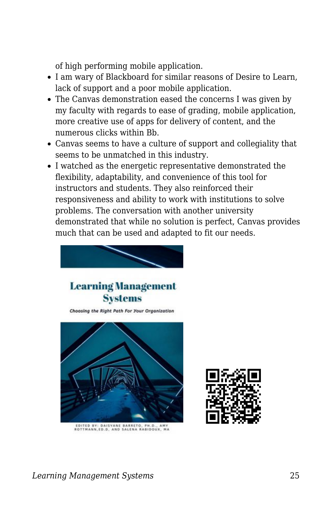of high performing mobile application.

- I am wary of Blackboard for similar reasons of Desire to Learn, lack of support and a poor mobile application.
- The Canvas demonstration eased the concerns I was given by my faculty with regards to ease of grading, mobile application, more creative use of apps for delivery of content, and the numerous clicks within Bb.
- Canvas seems to have a culture of support and collegiality that seems to be unmatched in this industry.
- I watched as the energetic representative demonstrated the flexibility, adaptability, and convenience of this tool for instructors and students. They also reinforced their responsiveness and ability to work with institutions to solve problems. The conversation with another university demonstrated that while no solution is perfect, Canvas provides much that can be used and adapted to fit our needs.



EDITED BY: DAISYANE BARRETO, PH.D., AMY<br>ROTTMANN.ED.D. AND SALENA RABIDOUX, MA